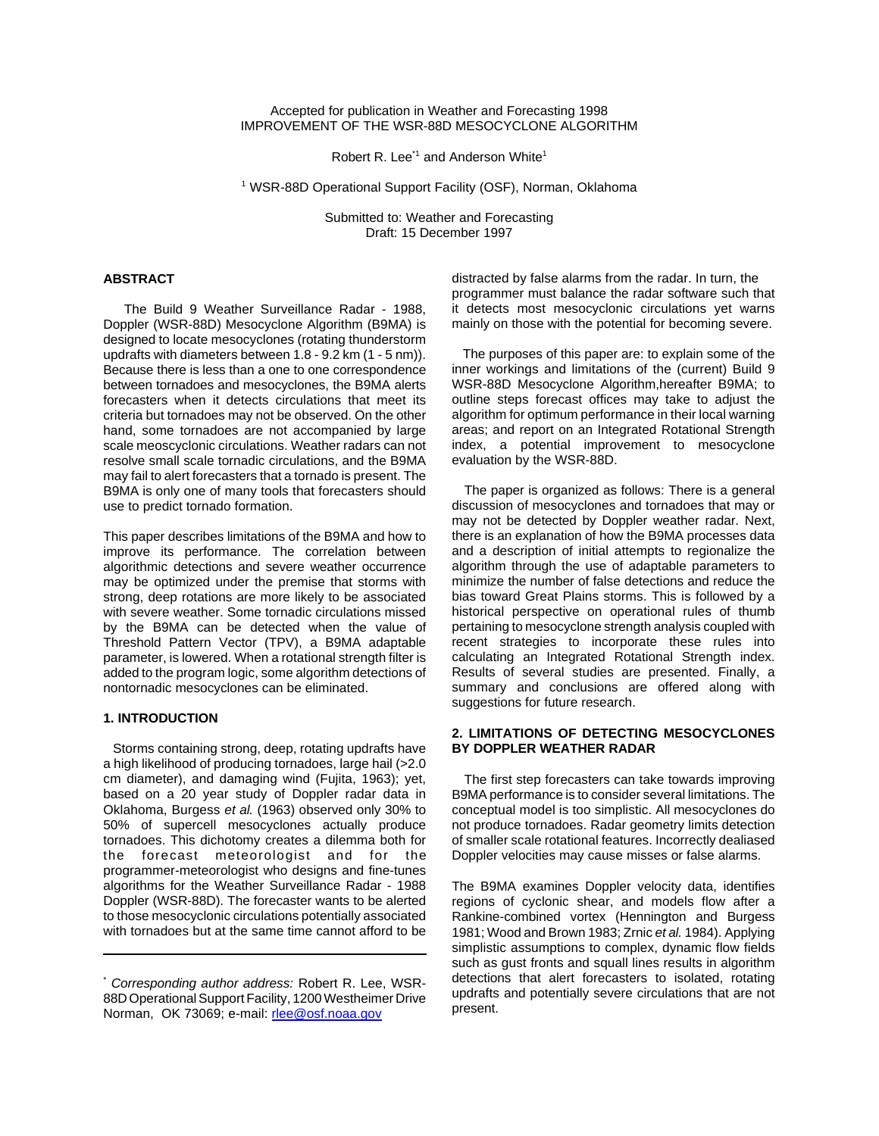Accepted for publication in Weather and Forecasting 1998 IMPROVEMENT OF THE WSR-88D MESOCYCLONE ALGORITHM

Robert R. Lee<sup>\*1</sup> and Anderson White<sup>1</sup>

<sup>1</sup> WSR-88D Operational Support Facility (OSF), Norman, Oklahoma

Submitted to: Weather and Forecasting Draft: 15 December 1997

## **ABSTRACT**

 The Build 9 Weather Surveillance Radar - 1988, Doppler (WSR-88D) Mesocyclone Algorithm (B9MA) is designed to locate mesocyclones (rotating thunderstorm updrafts with diameters between 1.8 - 9.2 km (1 - 5 nm)). Because there is less than a one to one correspondence between tornadoes and mesocyclones, the B9MA alerts forecasters when it detects circulations that meet its criteria but tornadoes may not be observed. On the other hand, some tornadoes are not accompanied by large scale meoscyclonic circulations. Weather radars can not resolve small scale tornadic circulations, and the B9MA may fail to alert forecasters that a tornado is present. The B9MA is only one of many tools that forecasters should use to predict tornado formation.

This paper describes limitations of the B9MA and how to improve its performance. The correlation between algorithmic detections and severe weather occurrence may be optimized under the premise that storms with strong, deep rotations are more likely to be associated with severe weather. Some tornadic circulations missed by the B9MA can be detected when the value of Threshold Pattern Vector (TPV), a B9MA adaptable parameter, is lowered. When a rotational strength filter is added to the program logic, some algorithm detections of nontornadic mesocyclones can be eliminated.

## **1. INTRODUCTION**

 Storms containing strong, deep, rotating updrafts have a high likelihood of producing tornadoes, large hail (>2.0 cm diameter), and damaging wind (Fujita, 1963); yet, based on a 20 year study of Doppler radar data in Oklahoma, Burgess *et al.* (1963) observed only 30% to 50% of supercell mesocyclones actually produce tornadoes. This dichotomy creates a dilemma both for the forecast meteorologist and for the programmer-meteorologist who designs and fine-tunes algorithms for the Weather Surveillance Radar - 1988 Doppler (WSR-88D). The forecaster wants to be alerted to those mesocyclonic circulations potentially associated with tornadoes but at the same time cannot afford to be

distracted by false alarms from the radar. In turn, the programmer must balance the radar software such that it detects most mesocyclonic circulations yet warns mainly on those with the potential for becoming severe.

 The purposes of this paper are: to explain some of the inner workings and limitations of the (current) Build 9 WSR-88D Mesocyclone Algorithm,hereafter B9MA; to outline steps forecast offices may take to adjust the algorithm for optimum performance in their local warning areas; and report on an Integrated Rotational Strength index, a potential improvement to mesocyclone evaluation by the WSR-88D.

 The paper is organized as follows: There is a general discussion of mesocyclones and tornadoes that may or may not be detected by Doppler weather radar. Next, there is an explanation of how the B9MA processes data and a description of initial attempts to regionalize the algorithm through the use of adaptable parameters to minimize the number of false detections and reduce the bias toward Great Plains storms. This is followed by a historical perspective on operational rules of thumb pertaining to mesocyclone strength analysis coupled with recent strategies to incorporate these rules into calculating an Integrated Rotational Strength index. Results of several studies are presented. Finally, a summary and conclusions are offered along with suggestions for future research.

# **2. LIMITATIONS OF DETECTING MESOCYCLONES BY DOPPLER WEATHER RADAR**

 The first step forecasters can take towards improving B9MA performance is to consider several limitations. The conceptual model is too simplistic. All mesocyclones do not produce tornadoes. Radar geometry limits detection of smaller scale rotational features. Incorrectly dealiased Doppler velocities may cause misses or false alarms.

The B9MA examines Doppler velocity data, identifies regions of cyclonic shear, and models flow after a Rankine-combined vortex (Hennington and Burgess 1981; Wood and Brown 1983; Zrnic *et al.* 1984). Applying simplistic assumptions to complex, dynamic flow fields such as gust fronts and squall lines results in algorithm detections that alert forecasters to isolated, rotating updrafts and potentially severe circulations that are not present.

<sup>\*</sup> *Corresponding author address:* Robert R. Lee, WSR-88D Operational Support Facility, 1200 Westheimer Drive Norman, OK 73069; e-mail: rlee@osf.noaa.gov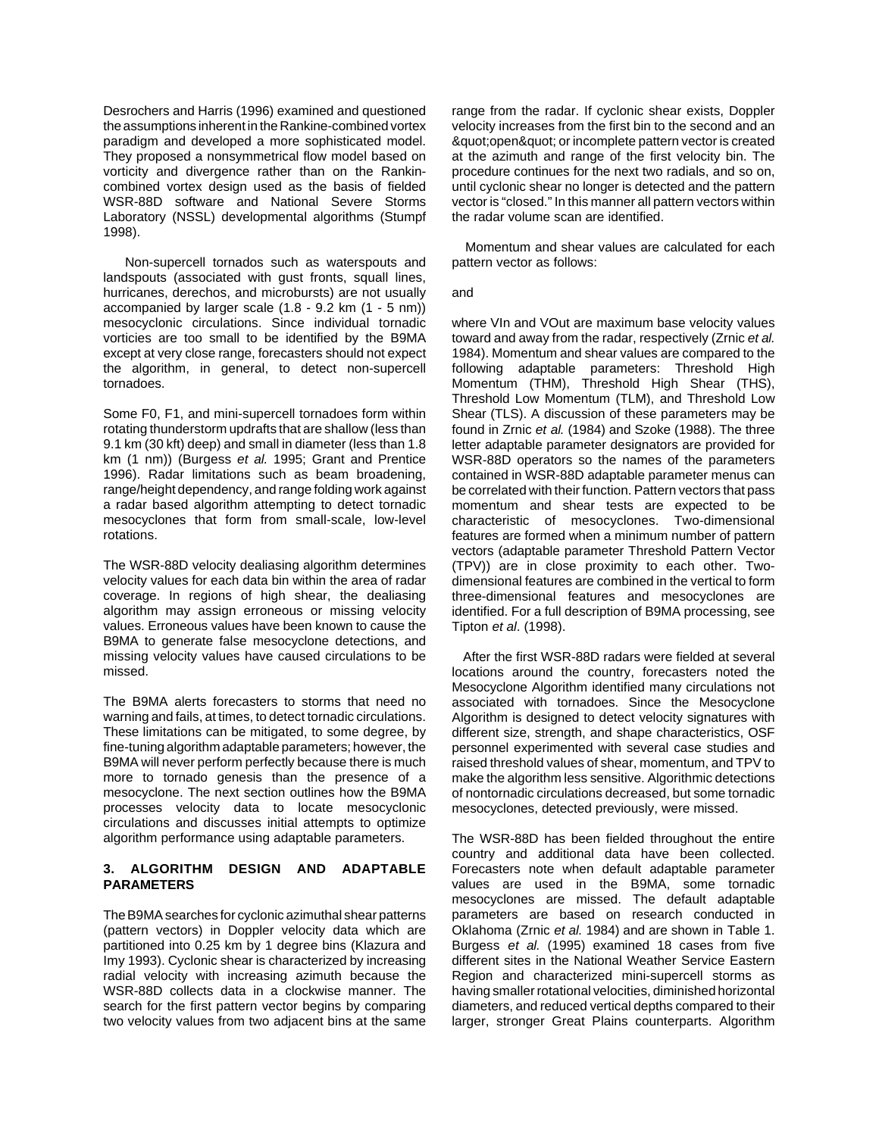Desrochers and Harris (1996) examined and questioned the assumptions inherent in the Rankine-combined vortex paradigm and developed a more sophisticated model. They proposed a nonsymmetrical flow model based on vorticity and divergence rather than on the Rankincombined vortex design used as the basis of fielded WSR-88D software and National Severe Storms Laboratory (NSSL) developmental algorithms (Stumpf 1998).

 Non-supercell tornados such as waterspouts and landspouts (associated with gust fronts, squall lines, hurricanes, derechos, and microbursts) are not usually accompanied by larger scale (1.8 - 9.2 km (1 - 5 nm)) mesocyclonic circulations. Since individual tornadic vorticies are too small to be identified by the B9MA except at very close range, forecasters should not expect the algorithm, in general, to detect non-supercell tornadoes.

Some F0, F1, and mini-supercell tornadoes form within rotating thunderstorm updrafts that are shallow (less than 9.1 km (30 kft) deep) and small in diameter (less than 1.8 km (1 nm)) (Burgess *et al.* 1995; Grant and Prentice 1996). Radar limitations such as beam broadening, range/height dependency, and range folding work against a radar based algorithm attempting to detect tornadic mesocyclones that form from small-scale, low-level rotations.

The WSR-88D velocity dealiasing algorithm determines velocity values for each data bin within the area of radar coverage. In regions of high shear, the dealiasing algorithm may assign erroneous or missing velocity values. Erroneous values have been known to cause the B9MA to generate false mesocyclone detections, and missing velocity values have caused circulations to be missed.

The B9MA alerts forecasters to storms that need no warning and fails, at times, to detect tornadic circulations. These limitations can be mitigated, to some degree, by fine-tuning algorithm adaptable parameters; however, the B9MA will never perform perfectly because there is much more to tornado genesis than the presence of a mesocyclone. The next section outlines how the B9MA processes velocity data to locate mesocyclonic circulations and discusses initial attempts to optimize algorithm performance using adaptable parameters.

## **3. ALGORITHM DESIGN AND ADAPTABLE PARAMETERS**

The B9MA searches for cyclonic azimuthal shear patterns (pattern vectors) in Doppler velocity data which are partitioned into 0.25 km by 1 degree bins (Klazura and Imy 1993). Cyclonic shear is characterized by increasing radial velocity with increasing azimuth because the WSR-88D collects data in a clockwise manner. The search for the first pattern vector begins by comparing two velocity values from two adjacent bins at the same

range from the radar. If cyclonic shear exists, Doppler velocity increases from the first bin to the second and an & quot; open & quot; or incomplete pattern vector is created at the azimuth and range of the first velocity bin. The procedure continues for the next two radials, and so on, until cyclonic shear no longer is detected and the pattern vector is "closed." In this manner all pattern vectors within the radar volume scan are identified.

 Momentum and shear values are calculated for each pattern vector as follows:

and

where VIn and VOut are maximum base velocity values toward and away from the radar, respectively (Zrnic *et al.* 1984). Momentum and shear values are compared to the following adaptable parameters: Threshold High Momentum (THM), Threshold High Shear (THS), Threshold Low Momentum (TLM), and Threshold Low Shear (TLS). A discussion of these parameters may be found in Zrnic *et al.* (1984) and Szoke (1988). The three letter adaptable parameter designators are provided for WSR-88D operators so the names of the parameters contained in WSR-88D adaptable parameter menus can be correlated with their function. Pattern vectors that pass momentum and shear tests are expected to be characteristic of mesocyclones. Two-dimensional features are formed when a minimum number of pattern vectors (adaptable parameter Threshold Pattern Vector (TPV)) are in close proximity to each other. Twodimensional features are combined in the vertical to form three-dimensional features and mesocyclones are identified. For a full description of B9MA processing, see Tipton *et al*. (1998).

 After the first WSR-88D radars were fielded at several locations around the country, forecasters noted the Mesocyclone Algorithm identified many circulations not associated with tornadoes. Since the Mesocyclone Algorithm is designed to detect velocity signatures with different size, strength, and shape characteristics, OSF personnel experimented with several case studies and raised threshold values of shear, momentum, and TPV to make the algorithm less sensitive. Algorithmic detections of nontornadic circulations decreased, but some tornadic mesocyclones, detected previously, were missed.

The WSR-88D has been fielded throughout the entire country and additional data have been collected. Forecasters note when default adaptable parameter values are used in the B9MA, some tornadic mesocyclones are missed. The default adaptable parameters are based on research conducted in Oklahoma (Zrnic *et al.* 1984) and are shown in Table 1. Burgess *et al.* (1995) examined 18 cases from five different sites in the National Weather Service Eastern Region and characterized mini-supercell storms as having smaller rotational velocities, diminished horizontal diameters, and reduced vertical depths compared to their larger, stronger Great Plains counterparts. Algorithm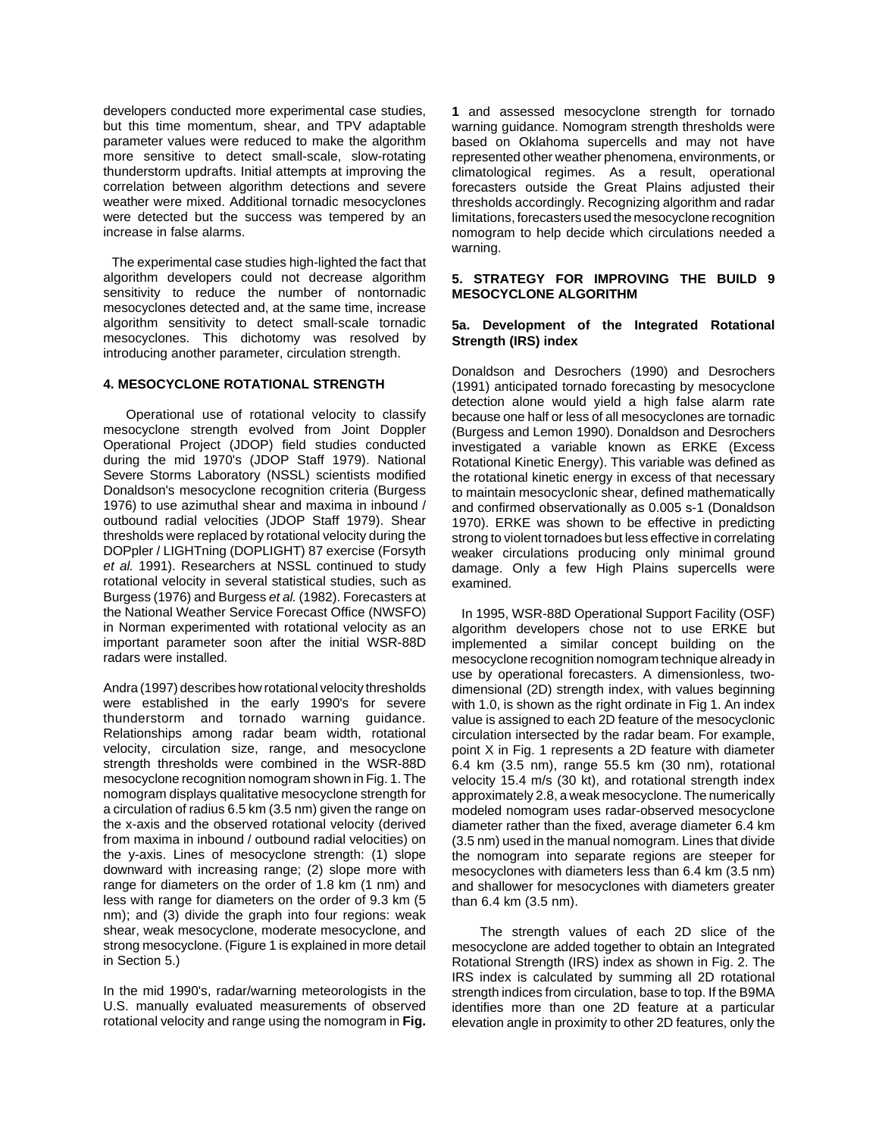developers conducted more experimental case studies, but this time momentum, shear, and TPV adaptable parameter values were reduced to make the algorithm more sensitive to detect small-scale, slow-rotating thunderstorm updrafts. Initial attempts at improving the correlation between algorithm detections and severe weather were mixed. Additional tornadic mesocyclones were detected but the success was tempered by an increase in false alarms.

 The experimental case studies high-lighted the fact that algorithm developers could not decrease algorithm sensitivity to reduce the number of nontornadic mesocyclones detected and, at the same time, increase algorithm sensitivity to detect small-scale tornadic mesocyclones. This dichotomy was resolved by introducing another parameter, circulation strength.

#### **4. MESOCYCLONE ROTATIONAL STRENGTH**

 Operational use of rotational velocity to classify mesocyclone strength evolved from Joint Doppler Operational Project (JDOP) field studies conducted during the mid 1970's (JDOP Staff 1979). National Severe Storms Laboratory (NSSL) scientists modified Donaldson's mesocyclone recognition criteria (Burgess 1976) to use azimuthal shear and maxima in inbound / outbound radial velocities (JDOP Staff 1979). Shear thresholds were replaced by rotational velocity during the DOPpler / LIGHTning (DOPLIGHT) 87 exercise (Forsyth *et al.* 1991). Researchers at NSSL continued to study rotational velocity in several statistical studies, such as Burgess (1976) and Burgess *et al.* (1982). Forecasters at the National Weather Service Forecast Office (NWSFO) in Norman experimented with rotational velocity as an important parameter soon after the initial WSR-88D radars were installed.

Andra (1997) describes how rotational velocity thresholds were established in the early 1990's for severe thunderstorm and tornado warning guidance. Relationships among radar beam width, rotational velocity, circulation size, range, and mesocyclone strength thresholds were combined in the WSR-88D mesocyclone recognition nomogram shown in Fig. 1. The nomogram displays qualitative mesocyclone strength for a circulation of radius 6.5 km (3.5 nm) given the range on the x-axis and the observed rotational velocity (derived from maxima in inbound / outbound radial velocities) on the y-axis. Lines of mesocyclone strength: (1) slope downward with increasing range; (2) slope more with range for diameters on the order of 1.8 km (1 nm) and less with range for diameters on the order of 9.3 km (5 nm); and (3) divide the graph into four regions: weak shear, weak mesocyclone, moderate mesocyclone, and strong mesocyclone. (Figure 1 is explained in more detail in Section 5.)

In the mid 1990's, radar/warning meteorologists in the U.S. manually evaluated measurements of observed rotational velocity and range using the nomogram in **Fig.**

**1** and assessed mesocyclone strength for tornado warning guidance. Nomogram strength thresholds were based on Oklahoma supercells and may not have represented other weather phenomena, environments, or climatological regimes. As a result, operational forecasters outside the Great Plains adjusted their thresholds accordingly. Recognizing algorithm and radar limitations, forecasters used the mesocyclone recognition nomogram to help decide which circulations needed a warning.

## **5. STRATEGY FOR IMPROVING THE BUILD 9 MESOCYCLONE ALGORITHM**

## **5a. Development of the Integrated Rotational Strength (IRS) index**

Donaldson and Desrochers (1990) and Desrochers (1991) anticipated tornado forecasting by mesocyclone detection alone would yield a high false alarm rate because one half or less of all mesocyclones are tornadic (Burgess and Lemon 1990). Donaldson and Desrochers investigated a variable known as ERKE (Excess Rotational Kinetic Energy). This variable was defined as the rotational kinetic energy in excess of that necessary to maintain mesocyclonic shear, defined mathematically and confirmed observationally as 0.005 s-1 (Donaldson 1970). ERKE was shown to be effective in predicting strong to violent tornadoes but less effective in correlating weaker circulations producing only minimal ground damage. Only a few High Plains supercells were examined.

 In 1995, WSR-88D Operational Support Facility (OSF) algorithm developers chose not to use ERKE but implemented a similar concept building on the mesocyclone recognition nomogram technique already in use by operational forecasters. A dimensionless, twodimensional (2D) strength index, with values beginning with 1.0, is shown as the right ordinate in Fig 1. An index value is assigned to each 2D feature of the mesocyclonic circulation intersected by the radar beam. For example, point X in Fig. 1 represents a 2D feature with diameter 6.4 km (3.5 nm), range 55.5 km (30 nm), rotational velocity 15.4 m/s (30 kt), and rotational strength index approximately 2.8, a weak mesocyclone. The numerically modeled nomogram uses radar-observed mesocyclone diameter rather than the fixed, average diameter 6.4 km (3.5 nm) used in the manual nomogram. Lines that divide the nomogram into separate regions are steeper for mesocyclones with diameters less than 6.4 km (3.5 nm) and shallower for mesocyclones with diameters greater than 6.4 km (3.5 nm).

 The strength values of each 2D slice of the mesocyclone are added together to obtain an Integrated Rotational Strength (IRS) index as shown in Fig. 2. The IRS index is calculated by summing all 2D rotational strength indices from circulation, base to top. If the B9MA identifies more than one 2D feature at a particular elevation angle in proximity to other 2D features, only the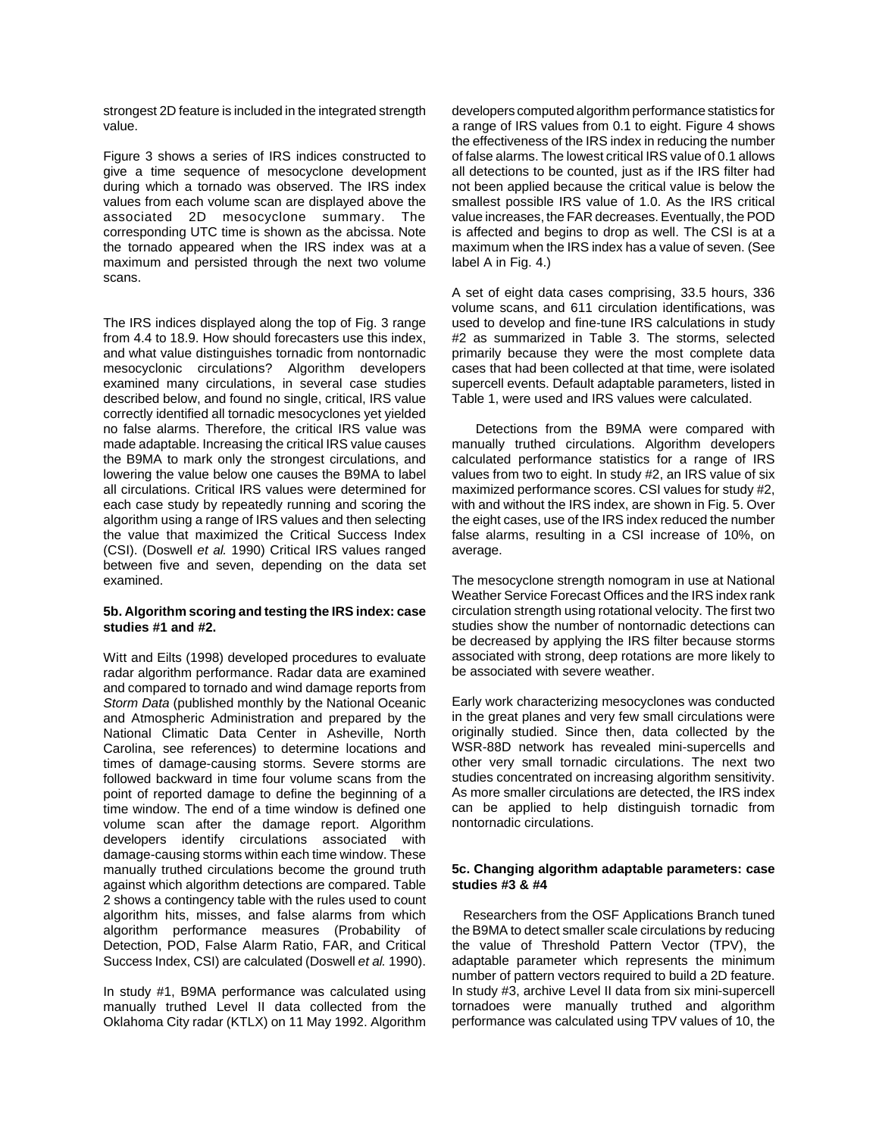strongest 2D feature is included in the integrated strength value.

Figure 3 shows a series of IRS indices constructed to give a time sequence of mesocyclone development during which a tornado was observed. The IRS index values from each volume scan are displayed above the associated 2D mesocyclone summary. The corresponding UTC time is shown as the abcissa. Note the tornado appeared when the IRS index was at a maximum and persisted through the next two volume scans.

The IRS indices displayed along the top of Fig. 3 range from 4.4 to 18.9. How should forecasters use this index, and what value distinguishes tornadic from nontornadic mesocyclonic circulations? Algorithm developers examined many circulations, in several case studies described below, and found no single, critical, IRS value correctly identified all tornadic mesocyclones yet yielded no false alarms. Therefore, the critical IRS value was made adaptable. Increasing the critical IRS value causes the B9MA to mark only the strongest circulations, and lowering the value below one causes the B9MA to label all circulations. Critical IRS values were determined for each case study by repeatedly running and scoring the algorithm using a range of IRS values and then selecting the value that maximized the Critical Success Index (CSI). (Doswell *et al.* 1990) Critical IRS values ranged between five and seven, depending on the data set examined.

## **5b. Algorithm scoring and testing the IRS index: case studies #1 and #2.**

Witt and Eilts (1998) developed procedures to evaluate radar algorithm performance. Radar data are examined and compared to tornado and wind damage reports from *Storm Data* (published monthly by the National Oceanic and Atmospheric Administration and prepared by the National Climatic Data Center in Asheville, North Carolina, see references) to determine locations and times of damage-causing storms. Severe storms are followed backward in time four volume scans from the point of reported damage to define the beginning of a time window. The end of a time window is defined one volume scan after the damage report. Algorithm developers identify circulations associated with damage-causing storms within each time window. These manually truthed circulations become the ground truth against which algorithm detections are compared. Table 2 shows a contingency table with the rules used to count algorithm hits, misses, and false alarms from which algorithm performance measures (Probability of Detection, POD, False Alarm Ratio, FAR, and Critical Success Index, CSI) are calculated (Doswell *et al.* 1990).

In study #1, B9MA performance was calculated using manually truthed Level II data collected from the Oklahoma City radar (KTLX) on 11 May 1992. Algorithm developers computed algorithm performance statistics for a range of IRS values from 0.1 to eight. Figure 4 shows the effectiveness of the IRS index in reducing the number of false alarms. The lowest critical IRS value of 0.1 allows all detections to be counted, just as if the IRS filter had not been applied because the critical value is below the smallest possible IRS value of 1.0. As the IRS critical value increases, the FAR decreases. Eventually, the POD is affected and begins to drop as well. The CSI is at a maximum when the IRS index has a value of seven. (See label A in Fig. 4.)

A set of eight data cases comprising, 33.5 hours, 336 volume scans, and 611 circulation identifications, was used to develop and fine-tune IRS calculations in study #2 as summarized in Table 3. The storms, selected primarily because they were the most complete data cases that had been collected at that time, were isolated supercell events. Default adaptable parameters, listed in Table 1, were used and IRS values were calculated.

 Detections from the B9MA were compared with manually truthed circulations. Algorithm developers calculated performance statistics for a range of IRS values from two to eight. In study #2, an IRS value of six maximized performance scores. CSI values for study #2, with and without the IRS index, are shown in Fig. 5. Over the eight cases, use of the IRS index reduced the number false alarms, resulting in a CSI increase of 10%, on average.

The mesocyclone strength nomogram in use at National Weather Service Forecast Offices and the IRS index rank circulation strength using rotational velocity. The first two studies show the number of nontornadic detections can be decreased by applying the IRS filter because storms associated with strong, deep rotations are more likely to be associated with severe weather.

Early work characterizing mesocyclones was conducted in the great planes and very few small circulations were originally studied. Since then, data collected by the WSR-88D network has revealed mini-supercells and other very small tornadic circulations. The next two studies concentrated on increasing algorithm sensitivity. As more smaller circulations are detected, the IRS index can be applied to help distinguish tornadic from nontornadic circulations.

#### **5c. Changing algorithm adaptable parameters: case studies #3 & #4**

 Researchers from the OSF Applications Branch tuned the B9MA to detect smaller scale circulations by reducing the value of Threshold Pattern Vector (TPV), the adaptable parameter which represents the minimum number of pattern vectors required to build a 2D feature. In study #3, archive Level II data from six mini-supercell tornadoes were manually truthed and algorithm performance was calculated using TPV values of 10, the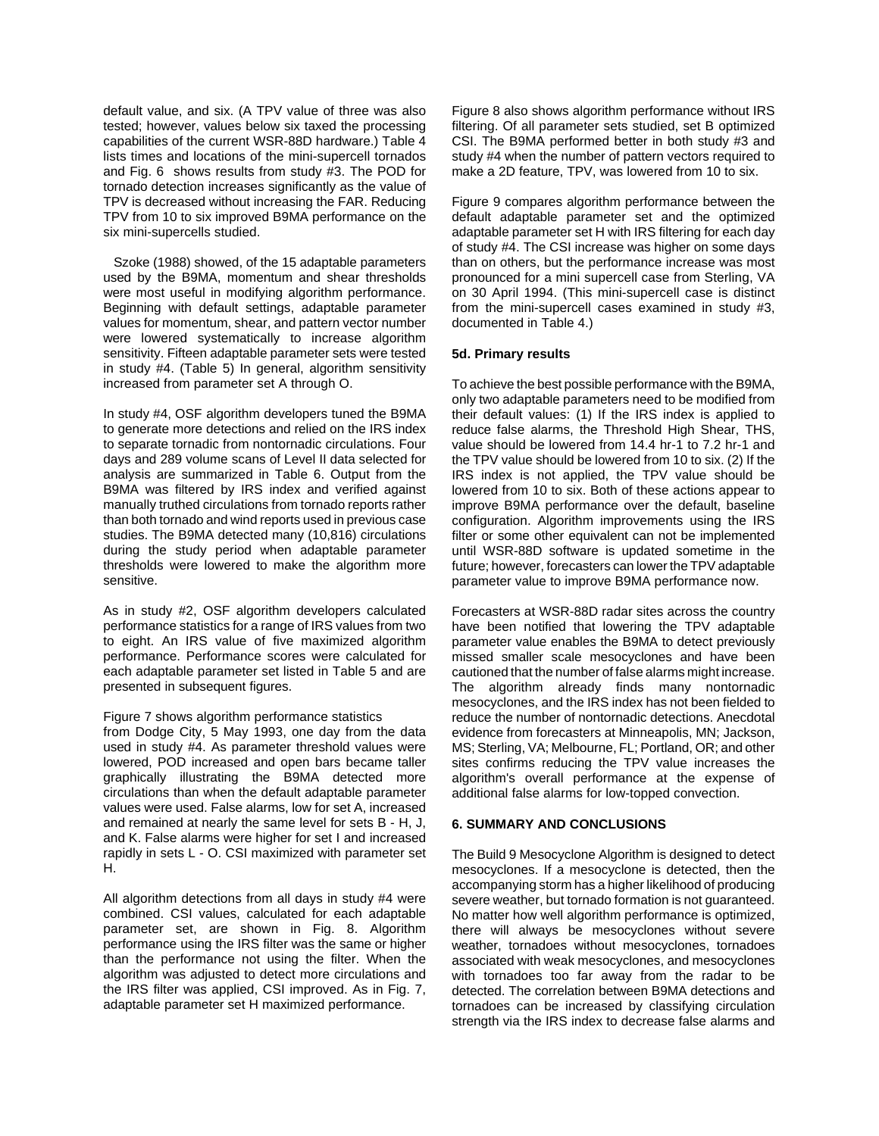default value, and six. (A TPV value of three was also tested; however, values below six taxed the processing capabilities of the current WSR-88D hardware.) Table 4 lists times and locations of the mini-supercell tornados and Fig. 6 shows results from study #3. The POD for tornado detection increases significantly as the value of TPV is decreased without increasing the FAR. Reducing TPV from 10 to six improved B9MA performance on the six mini-supercells studied.

 Szoke (1988) showed, of the 15 adaptable parameters used by the B9MA, momentum and shear thresholds were most useful in modifying algorithm performance. Beginning with default settings, adaptable parameter values for momentum, shear, and pattern vector number were lowered systematically to increase algorithm sensitivity. Fifteen adaptable parameter sets were tested in study #4. (Table 5) In general, algorithm sensitivity increased from parameter set A through O.

In study #4, OSF algorithm developers tuned the B9MA to generate more detections and relied on the IRS index to separate tornadic from nontornadic circulations. Four days and 289 volume scans of Level II data selected for analysis are summarized in Table 6. Output from the B9MA was filtered by IRS index and verified against manually truthed circulations from tornado reports rather than both tornado and wind reports used in previous case studies. The B9MA detected many (10,816) circulations during the study period when adaptable parameter thresholds were lowered to make the algorithm more sensitive.

As in study #2, OSF algorithm developers calculated performance statistics for a range of IRS values from two to eight. An IRS value of five maximized algorithm performance. Performance scores were calculated for each adaptable parameter set listed in Table 5 and are presented in subsequent figures.

#### Figure 7 shows algorithm performance statistics

from Dodge City, 5 May 1993, one day from the data used in study #4. As parameter threshold values were lowered, POD increased and open bars became taller graphically illustrating the B9MA detected more circulations than when the default adaptable parameter values were used. False alarms, low for set A, increased and remained at nearly the same level for sets B - H, J, and K. False alarms were higher for set I and increased rapidly in sets L - O. CSI maximized with parameter set H.

All algorithm detections from all days in study #4 were combined. CSI values, calculated for each adaptable parameter set, are shown in Fig. 8. Algorithm performance using the IRS filter was the same or higher than the performance not using the filter. When the algorithm was adjusted to detect more circulations and the IRS filter was applied, CSI improved. As in Fig. 7, adaptable parameter set H maximized performance.

Figure 8 also shows algorithm performance without IRS filtering. Of all parameter sets studied, set B optimized CSI. The B9MA performed better in both study #3 and study #4 when the number of pattern vectors required to make a 2D feature, TPV, was lowered from 10 to six.

Figure 9 compares algorithm performance between the default adaptable parameter set and the optimized adaptable parameter set H with IRS filtering for each day of study #4. The CSI increase was higher on some days than on others, but the performance increase was most pronounced for a mini supercell case from Sterling, VA on 30 April 1994. (This mini-supercell case is distinct from the mini-supercell cases examined in study #3, documented in Table 4.)

#### **5d. Primary results**

To achieve the best possible performance with the B9MA, only two adaptable parameters need to be modified from their default values: (1) If the IRS index is applied to reduce false alarms, the Threshold High Shear, THS, value should be lowered from 14.4 hr-1 to 7.2 hr-1 and the TPV value should be lowered from 10 to six. (2) If the IRS index is not applied, the TPV value should be lowered from 10 to six. Both of these actions appear to improve B9MA performance over the default, baseline configuration. Algorithm improvements using the IRS filter or some other equivalent can not be implemented until WSR-88D software is updated sometime in the future; however, forecasters can lower the TPV adaptable parameter value to improve B9MA performance now.

Forecasters at WSR-88D radar sites across the country have been notified that lowering the TPV adaptable parameter value enables the B9MA to detect previously missed smaller scale mesocyclones and have been cautioned that the number of false alarms might increase. The algorithm already finds many nontornadic mesocyclones, and the IRS index has not been fielded to reduce the number of nontornadic detections. Anecdotal evidence from forecasters at Minneapolis, MN; Jackson, MS; Sterling, VA; Melbourne, FL; Portland, OR; and other sites confirms reducing the TPV value increases the algorithm's overall performance at the expense of additional false alarms for low-topped convection.

#### **6. SUMMARY AND CONCLUSIONS**

The Build 9 Mesocyclone Algorithm is designed to detect mesocyclones. If a mesocyclone is detected, then the accompanying storm has a higher likelihood of producing severe weather, but tornado formation is not guaranteed. No matter how well algorithm performance is optimized, there will always be mesocyclones without severe weather, tornadoes without mesocyclones, tornadoes associated with weak mesocyclones, and mesocyclones with tornadoes too far away from the radar to be detected. The correlation between B9MA detections and tornadoes can be increased by classifying circulation strength via the IRS index to decrease false alarms and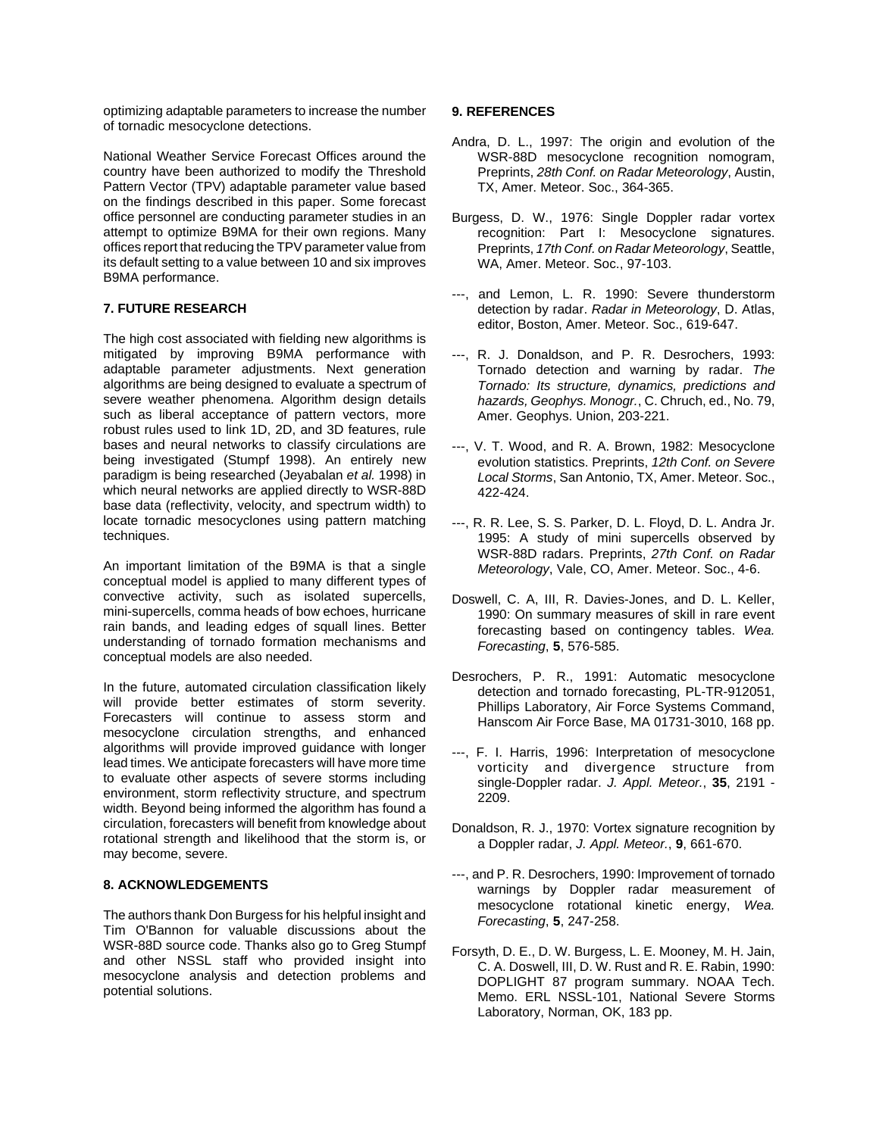optimizing adaptable parameters to increase the number of tornadic mesocyclone detections.

National Weather Service Forecast Offices around the country have been authorized to modify the Threshold Pattern Vector (TPV) adaptable parameter value based on the findings described in this paper. Some forecast office personnel are conducting parameter studies in an attempt to optimize B9MA for their own regions. Many offices report that reducing the TPV parameter value from its default setting to a value between 10 and six improves B9MA performance.

# **7. FUTURE RESEARCH**

The high cost associated with fielding new algorithms is mitigated by improving B9MA performance with adaptable parameter adjustments. Next generation algorithms are being designed to evaluate a spectrum of severe weather phenomena. Algorithm design details such as liberal acceptance of pattern vectors, more robust rules used to link 1D, 2D, and 3D features, rule bases and neural networks to classify circulations are being investigated (Stumpf 1998). An entirely new paradigm is being researched (Jeyabalan *et al.* 1998) in which neural networks are applied directly to WSR-88D base data (reflectivity, velocity, and spectrum width) to locate tornadic mesocyclones using pattern matching techniques.

An important limitation of the B9MA is that a single conceptual model is applied to many different types of convective activity, such as isolated supercells, mini-supercells, comma heads of bow echoes, hurricane rain bands, and leading edges of squall lines. Better understanding of tornado formation mechanisms and conceptual models are also needed.

In the future, automated circulation classification likely will provide better estimates of storm severity. Forecasters will continue to assess storm and mesocyclone circulation strengths, and enhanced algorithms will provide improved guidance with longer lead times. We anticipate forecasters will have more time to evaluate other aspects of severe storms including environment, storm reflectivity structure, and spectrum width. Beyond being informed the algorithm has found a circulation, forecasters will benefit from knowledge about rotational strength and likelihood that the storm is, or may become, severe.

## **8. ACKNOWLEDGEMENTS**

The authors thank Don Burgess for his helpful insight and Tim O'Bannon for valuable discussions about the WSR-88D source code. Thanks also go to Greg Stumpf and other NSSL staff who provided insight into mesocyclone analysis and detection problems and potential solutions.

## **9. REFERENCES**

- Andra, D. L., 1997: The origin and evolution of the WSR-88D mesocyclone recognition nomogram, Preprints, *28th Conf. on Radar Meteorology*, Austin, TX, Amer. Meteor. Soc., 364-365.
- Burgess, D. W., 1976: Single Doppler radar vortex recognition: Part I: Mesocyclone signatures. Preprints, *17th Conf. on Radar Meteorology*, Seattle, WA, Amer. Meteor. Soc., 97-103.
- ---, and Lemon, L. R. 1990: Severe thunderstorm detection by radar. *Radar in Meteorology*, D. Atlas, editor, Boston, Amer. Meteor. Soc., 619-647.
- ---, R. J. Donaldson, and P. R. Desrochers, 1993: Tornado detection and warning by radar. *The Tornado: Its structure, dynamics, predictions and hazards, Geophys. Monogr.*, C. Chruch, ed., No. 79, Amer. Geophys. Union, 203-221.
- ---, V. T. Wood, and R. A. Brown, 1982: Mesocyclone evolution statistics. Preprints, *12th Conf. on Severe Local Storms*, San Antonio, TX, Amer. Meteor. Soc., 422-424.
- ---, R. R. Lee, S. S. Parker, D. L. Floyd, D. L. Andra Jr. 1995: A study of mini supercells observed by WSR-88D radars. Preprints, *27th Conf. on Radar Meteorology*, Vale, CO, Amer. Meteor. Soc., 4-6.
- Doswell, C. A, III, R. Davies-Jones, and D. L. Keller, 1990: On summary measures of skill in rare event forecasting based on contingency tables. *Wea. Forecasting*, **5**, 576-585.
- Desrochers, P. R., 1991: Automatic mesocyclone detection and tornado forecasting, PL-TR-912051, Phillips Laboratory, Air Force Systems Command, Hanscom Air Force Base, MA 01731-3010, 168 pp.
- ---, F. I. Harris, 1996: Interpretation of mesocyclone vorticity and divergence structure from single-Doppler radar. *J. Appl. Meteor.*, **35**, 2191 - 2209.
- Donaldson, R. J., 1970: Vortex signature recognition by a Doppler radar, *J. Appl. Meteor.*, **9**, 661-670.
- ---, and P. R. Desrochers, 1990: Improvement of tornado warnings by Doppler radar measurement of mesocyclone rotational kinetic energy, *Wea. Forecasting*, **5**, 247-258.
- Forsyth, D. E., D. W. Burgess, L. E. Mooney, M. H. Jain, C. A. Doswell, III, D. W. Rust and R. E. Rabin, 1990: DOPLIGHT 87 program summary. NOAA Tech. Memo. ERL NSSL-101, National Severe Storms Laboratory, Norman, OK, 183 pp.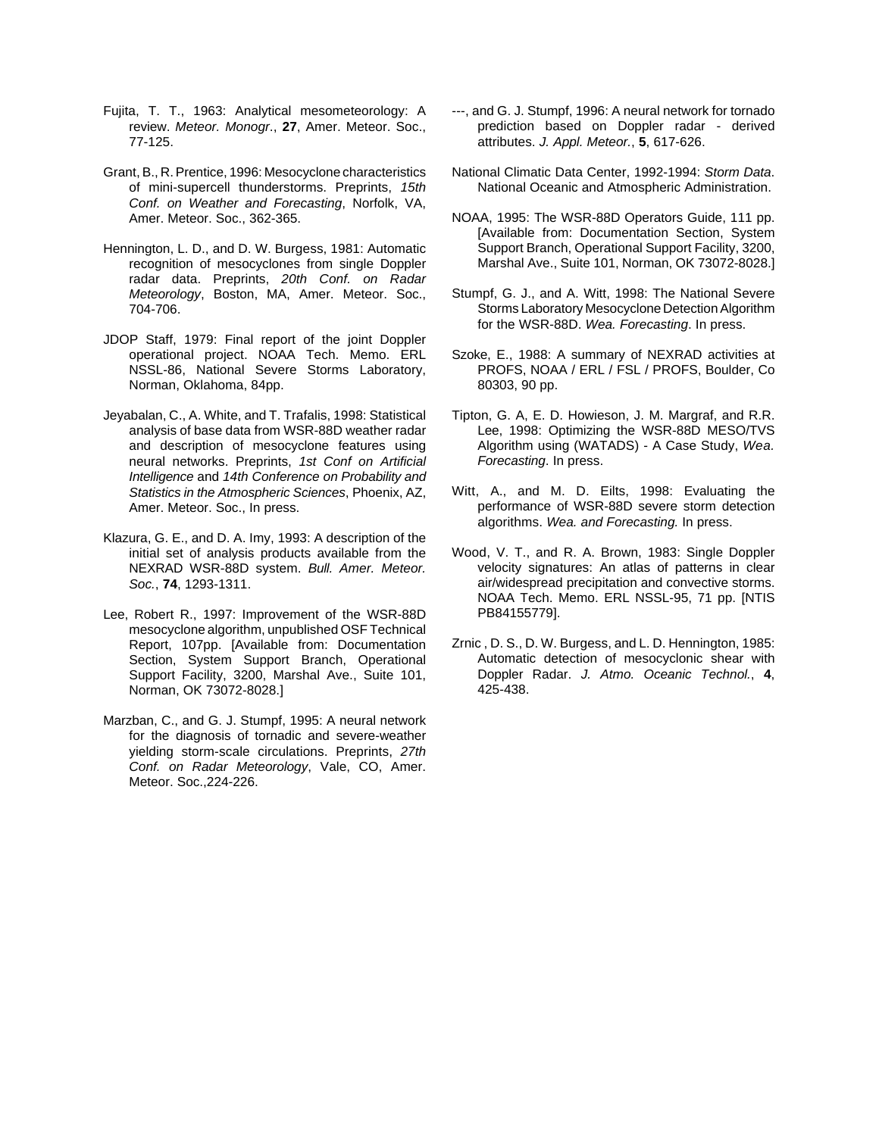- Fujita, T. T., 1963: Analytical mesometeorology: A review. *Meteor. Monogr*., **27**, Amer. Meteor. Soc., 77-125.
- Grant, B., R. Prentice, 1996: Mesocyclone characteristics of mini-supercell thunderstorms. Preprints, *15th Conf. on Weather and Forecasting*, Norfolk, VA, Amer. Meteor. Soc., 362-365.
- Hennington, L. D., and D. W. Burgess, 1981: Automatic recognition of mesocyclones from single Doppler radar data. Preprints, *20th Conf. on Radar Meteorology*, Boston, MA, Amer. Meteor. Soc., 704-706.
- JDOP Staff, 1979: Final report of the joint Doppler operational project. NOAA Tech. Memo. ERL NSSL-86, National Severe Storms Laboratory, Norman, Oklahoma, 84pp.
- Jeyabalan, C., A. White, and T. Trafalis, 1998: Statistical analysis of base data from WSR-88D weather radar and description of mesocyclone features using neural networks. Preprints, *1st Conf on Artificial Intelligence* and *14th Conference on Probability and Statistics in the Atmospheric Sciences*, Phoenix, AZ, Amer. Meteor. Soc., In press.
- Klazura, G. E., and D. A. Imy, 1993: A description of the initial set of analysis products available from the NEXRAD WSR-88D system. *Bull. Amer. Meteor. Soc.*, **74**, 1293-1311.
- Lee, Robert R., 1997: Improvement of the WSR-88D mesocyclone algorithm, unpublished OSF Technical Report, 107pp. [Available from: Documentation Section, System Support Branch, Operational Support Facility, 3200, Marshal Ave., Suite 101, Norman, OK 73072-8028.]
- Marzban, C., and G. J. Stumpf, 1995: A neural network for the diagnosis of tornadic and severe-weather yielding storm-scale circulations. Preprints, *27th Conf. on Radar Meteorology*, Vale, CO, Amer. Meteor. Soc.,224-226.
- ---, and G. J. Stumpf, 1996: A neural network for tornado prediction based on Doppler radar - derived attributes. *J. Appl. Meteor.*, **5**, 617-626.
- National Climatic Data Center, 1992-1994: *Storm Data*. National Oceanic and Atmospheric Administration.
- NOAA, 1995: The WSR-88D Operators Guide, 111 pp. [Available from: Documentation Section, System Support Branch, Operational Support Facility, 3200, Marshal Ave., Suite 101, Norman, OK 73072-8028.]
- Stumpf, G. J., and A. Witt, 1998: The National Severe Storms Laboratory Mesocyclone Detection Algorithm for the WSR-88D. *Wea. Forecasting*. In press.
- Szoke, E., 1988: A summary of NEXRAD activities at PROFS, NOAA / ERL / FSL / PROFS, Boulder, Co 80303, 90 pp.
- Tipton, G. A, E. D. Howieson, J. M. Margraf, and R.R. Lee, 1998: Optimizing the WSR-88D MESO/TVS Algorithm using (WATADS) - A Case Study, *Wea. Forecasting*. In press.
- Witt, A., and M. D. Eilts, 1998: Evaluating the performance of WSR-88D severe storm detection algorithms. *Wea. and Forecasting.* In press.
- Wood, V. T., and R. A. Brown, 1983: Single Doppler velocity signatures: An atlas of patterns in clear air/widespread precipitation and convective storms. NOAA Tech. Memo. ERL NSSL-95, 71 pp. [NTIS PB84155779].
- Zrnic , D. S., D. W. Burgess, and L. D. Hennington, 1985: Automatic detection of mesocyclonic shear with Doppler Radar. *J. Atmo. Oceanic Technol.*, **4**, 425-438.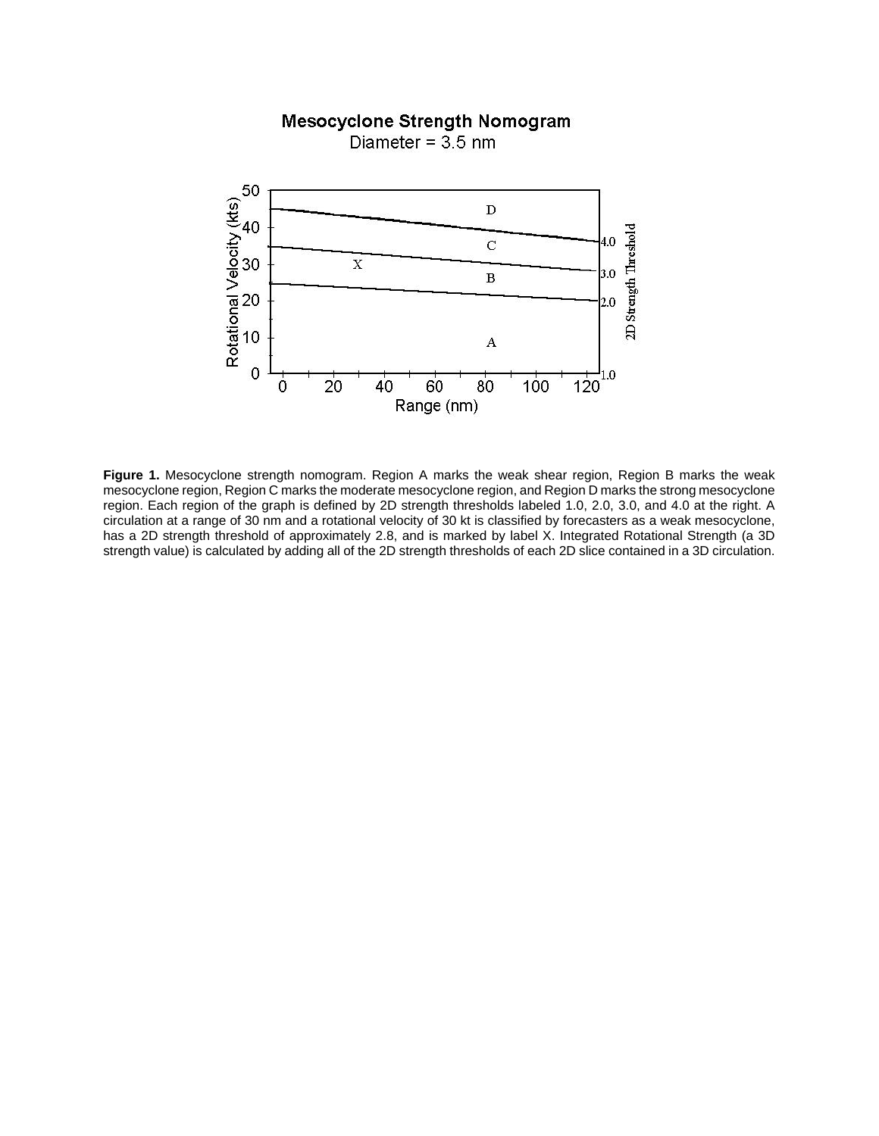# **Mesocyclone Strength Nomogram**

Diameter =  $3.5$  nm



**Figure 1.** Mesocyclone strength nomogram. Region A marks the weak shear region, Region B marks the weak mesocyclone region, Region C marks the moderate mesocyclone region, and Region D marks the strong mesocyclone region. Each region of the graph is defined by 2D strength thresholds labeled 1.0, 2.0, 3.0, and 4.0 at the right. A circulation at a range of 30 nm and a rotational velocity of 30 kt is classified by forecasters as a weak mesocyclone, has a 2D strength threshold of approximately 2.8, and is marked by label X. Integrated Rotational Strength (a 3D strength value) is calculated by adding all of the 2D strength thresholds of each 2D slice contained in a 3D circulation.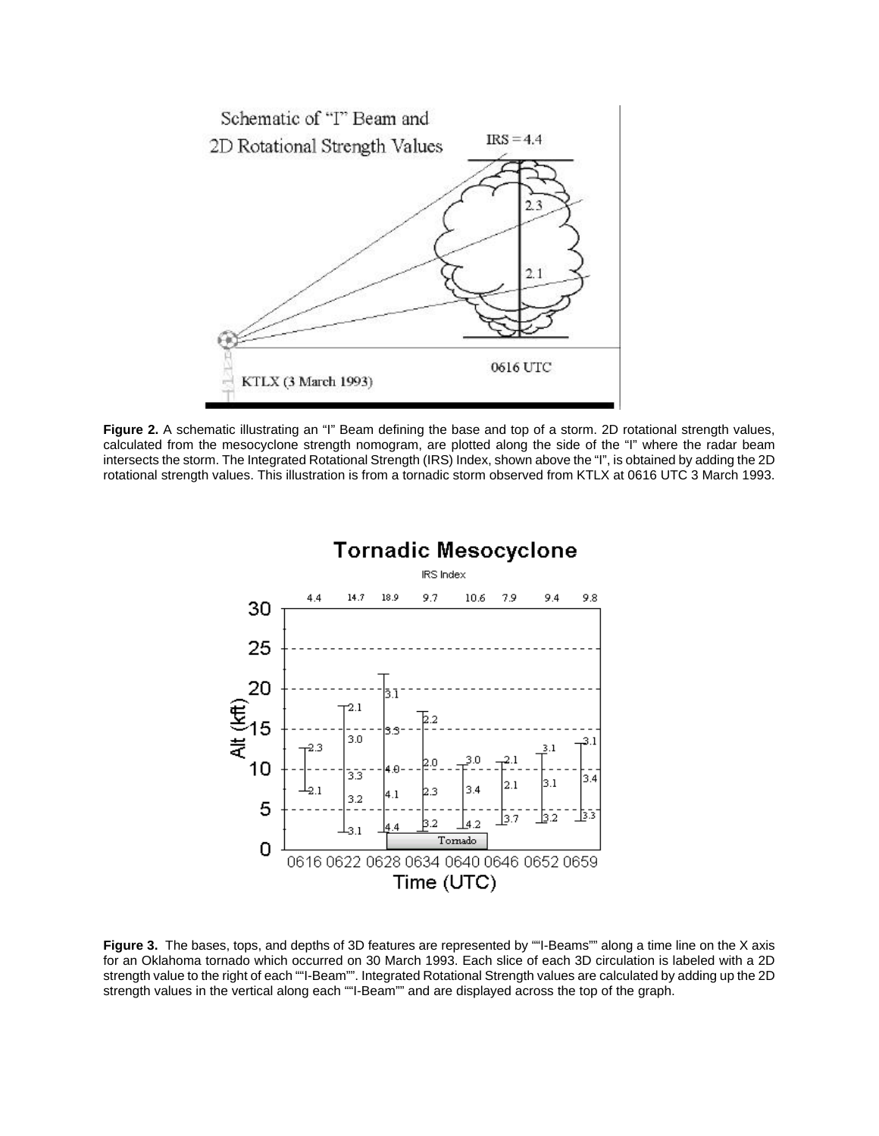

**Figure 2.** A schematic illustrating an "I" Beam defining the base and top of a storm. 2D rotational strength values, calculated from the mesocyclone strength nomogram, are plotted along the side of the "I" where the radar beam intersects the storm. The Integrated Rotational Strength (IRS) Index, shown above the "I", is obtained by adding the 2D rotational strength values. This illustration is from a tornadic storm observed from KTLX at 0616 UTC 3 March 1993.



**Figure 3.** The bases, tops, and depths of 3D features are represented by ""I-Beams"" along a time line on the X axis for an Oklahoma tornado which occurred on 30 March 1993. Each slice of each 3D circulation is labeled with a 2D strength value to the right of each ""I-Beam"". Integrated Rotational Strength values are calculated by adding up the 2D strength values in the vertical along each ""I-Beam"" and are displayed across the top of the graph.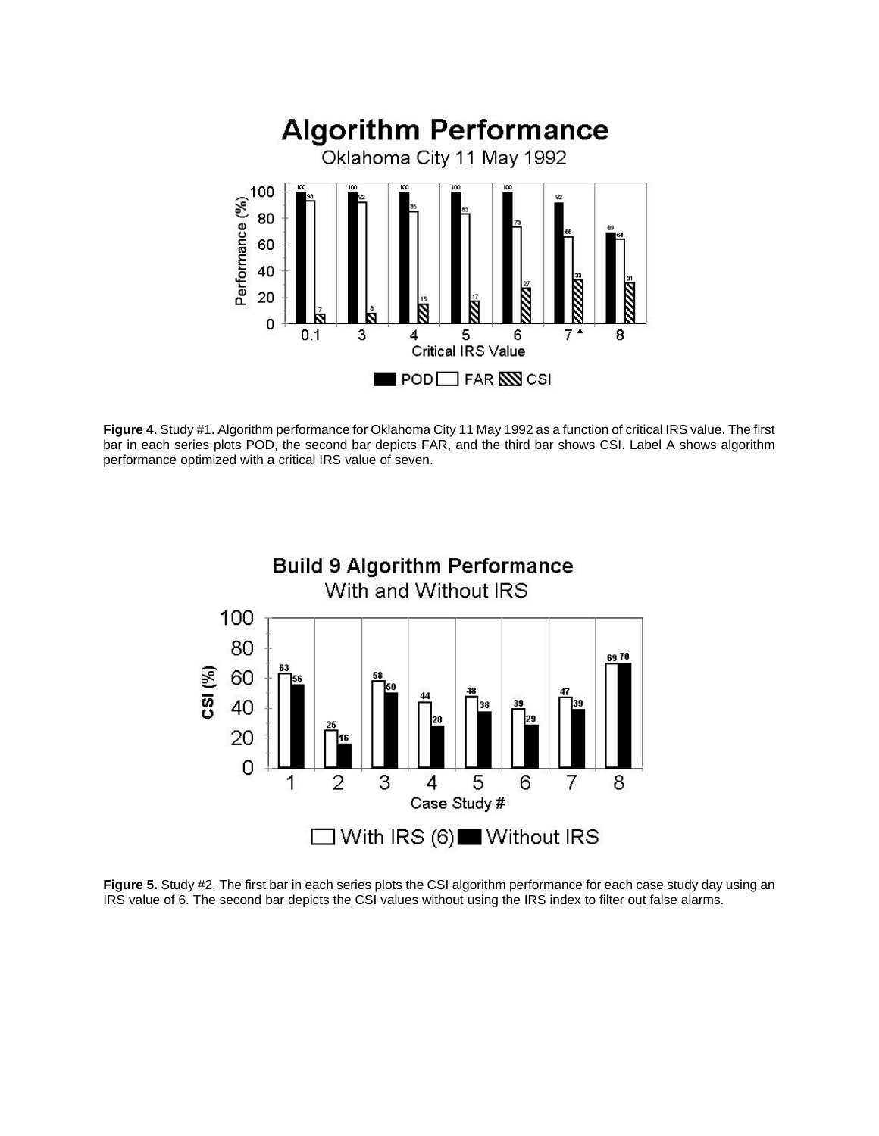

**Figure 4.** Study #1. Algorithm performance for Oklahoma City 11 May 1992 as a function of critical IRS value. The first bar in each series plots POD, the second bar depicts FAR, and the third bar shows CSI. Label A shows algorithm performance optimized with a critical IRS value of seven.



**Figure 5.** Study #2. The first bar in each series plots the CSI algorithm performance for each case study day using an IRS value of 6. The second bar depicts the CSI values without using the IRS index to filter out false alarms.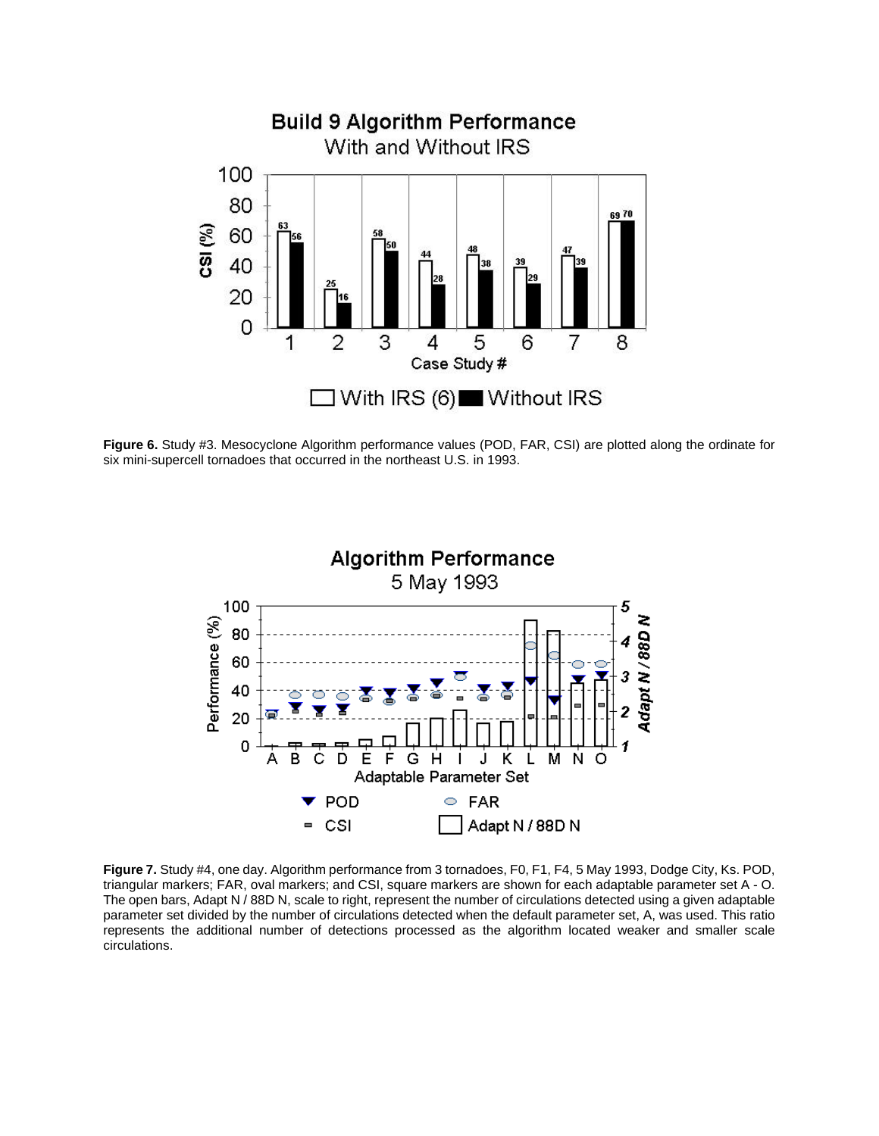

**Figure 6.** Study #3. Mesocyclone Algorithm performance values (POD, FAR, CSI) are plotted along the ordinate for six mini-supercell tornadoes that occurred in the northeast U.S. in 1993.



**Figure 7.** Study #4, one day. Algorithm performance from 3 tornadoes, F0, F1, F4, 5 May 1993, Dodge City, Ks. POD, triangular markers; FAR, oval markers; and CSI, square markers are shown for each adaptable parameter set A - O. The open bars, Adapt N / 88D N, scale to right, represent the number of circulations detected using a given adaptable parameter set divided by the number of circulations detected when the default parameter set, A, was used. This ratio represents the additional number of detections processed as the algorithm located weaker and smaller scale circulations.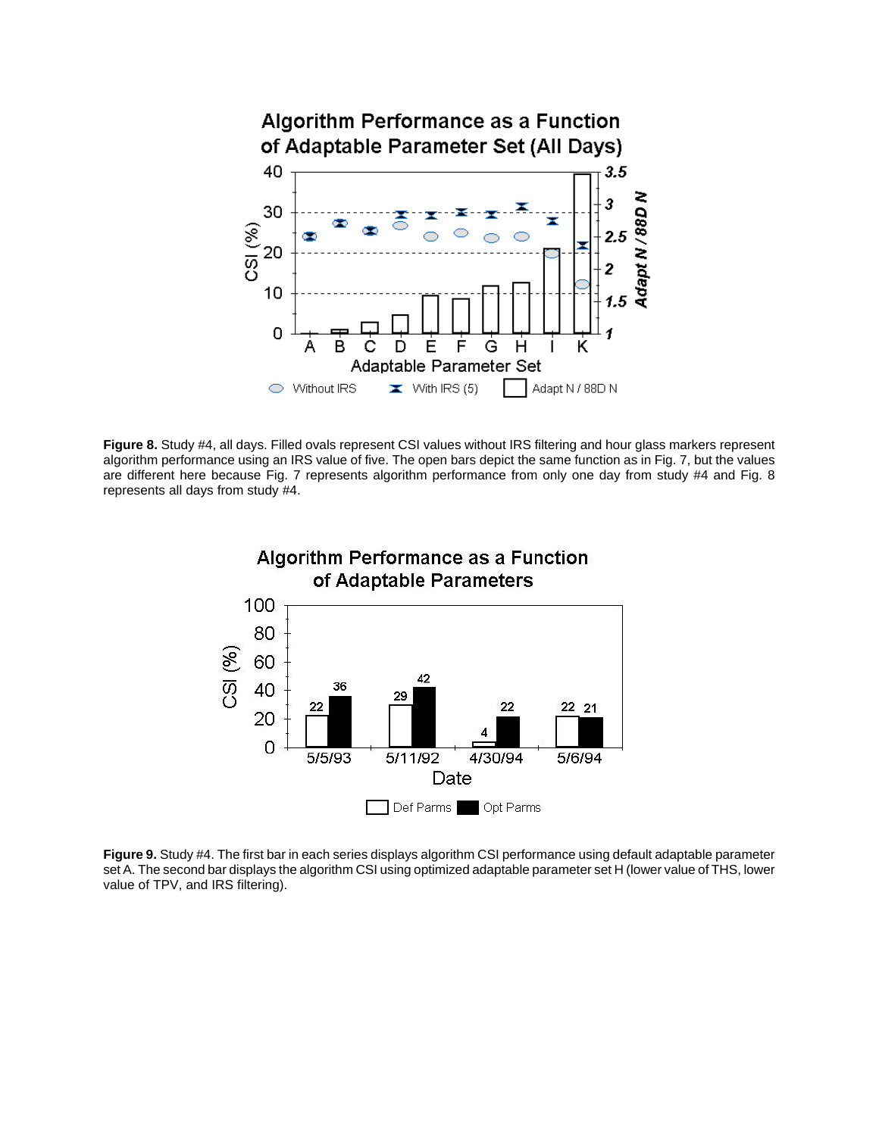

**Figure 8.** Study #4, all days. Filled ovals represent CSI values without IRS filtering and hour glass markers represent algorithm performance using an IRS value of five. The open bars depict the same function as in Fig. 7, but the values are different here because Fig. 7 represents algorithm performance from only one day from study #4 and Fig. 8 represents all days from study #4.



**Figure 9.** Study #4. The first bar in each series displays algorithm CSI performance using default adaptable parameter set A. The second bar displays the algorithm CSI using optimized adaptable parameter set H (lower value of THS, lower value of TPV, and IRS filtering).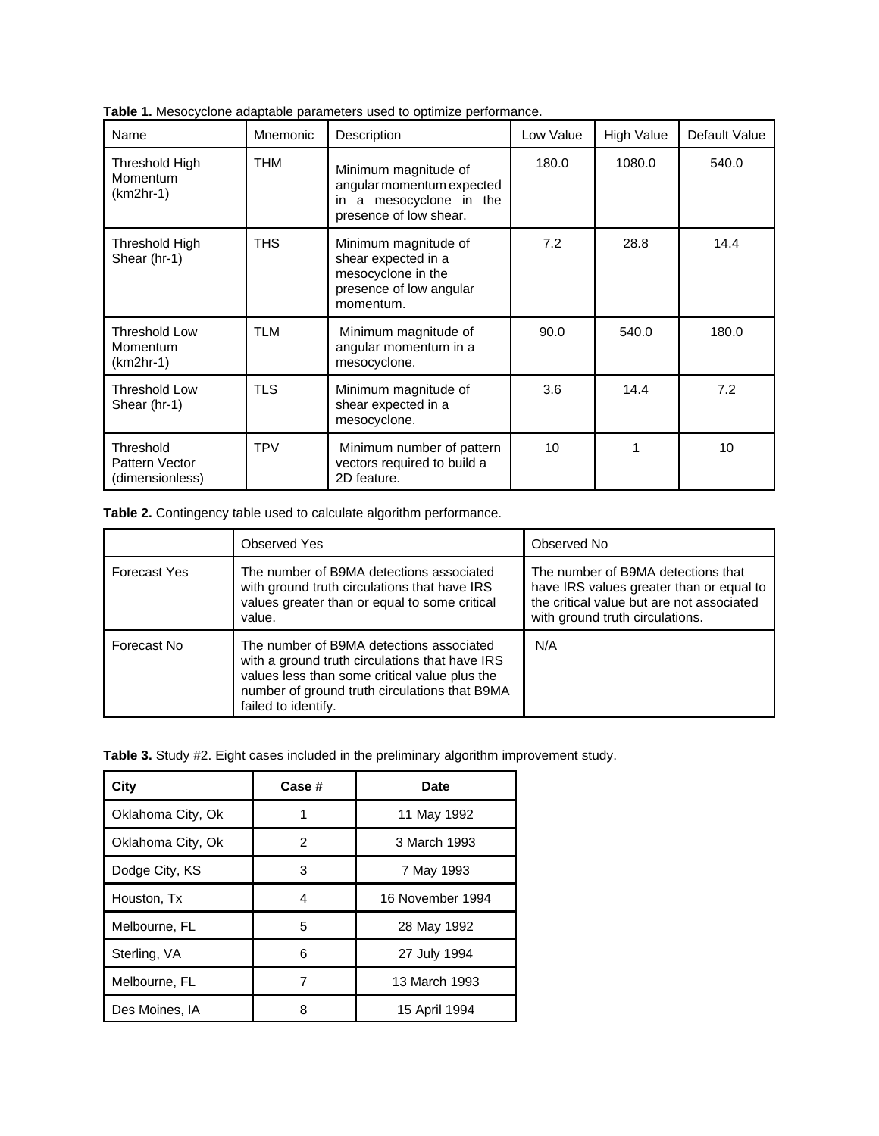| <b>Table 1.</b> Mesocyclone adaptable parameters used to optimize performance. |  |
|--------------------------------------------------------------------------------|--|
|--------------------------------------------------------------------------------|--|

| Name                                            | Mnemonic   | Description                                                                                               | Low Value | <b>High Value</b> | Default Value |
|-------------------------------------------------|------------|-----------------------------------------------------------------------------------------------------------|-----------|-------------------|---------------|
| Threshold High<br>Momentum<br>$(km2hr-1)$       | <b>THM</b> | Minimum magnitude of<br>angular momentum expected<br>in a mesocyclone in the<br>presence of low shear.    | 180.0     | 1080.0            | 540.0         |
| Threshold High<br>Shear (hr-1)                  | <b>THS</b> | Minimum magnitude of<br>shear expected in a<br>mesocyclone in the<br>presence of low angular<br>momentum. | 7.2       | 28.8              | 14.4          |
| <b>Threshold Low</b><br>Momentum<br>$(km2hr-1)$ | <b>TLM</b> | Minimum magnitude of<br>angular momentum in a<br>mesocyclone.                                             | 90.0      | 540.0             | 180.0         |
| <b>Threshold Low</b><br>Shear (hr-1)            | <b>TLS</b> | Minimum magnitude of<br>shear expected in a<br>mesocyclone.                                               | 3.6       | 14.4              | 7.2           |
| Threshold<br>Pattern Vector<br>(dimensionless)  | <b>TPV</b> | Minimum number of pattern<br>vectors required to build a<br>2D feature.                                   | 10        | 1                 | 10            |

**Table 2.** Contingency table used to calculate algorithm performance.

|              | <b>Observed Yes</b>                                                                                                                                                                                                 | Observed No                                                                                                                                                    |
|--------------|---------------------------------------------------------------------------------------------------------------------------------------------------------------------------------------------------------------------|----------------------------------------------------------------------------------------------------------------------------------------------------------------|
| Forecast Yes | The number of B9MA detections associated<br>with ground truth circulations that have IRS<br>values greater than or equal to some critical<br>value.                                                                 | The number of B9MA detections that<br>have IRS values greater than or equal to<br>the critical value but are not associated<br>with ground truth circulations. |
| Forecast No  | The number of B9MA detections associated<br>with a ground truth circulations that have IRS<br>values less than some critical value plus the<br>number of ground truth circulations that B9MA<br>failed to identify. | N/A                                                                                                                                                            |

**Table 3.** Study #2. Eight cases included in the preliminary algorithm improvement study.

| City              | Case # | Date             |  |  |
|-------------------|--------|------------------|--|--|
| Oklahoma City, Ok |        | 11 May 1992      |  |  |
| Oklahoma City, Ok | 2      | 3 March 1993     |  |  |
| Dodge City, KS    | 3      | 7 May 1993       |  |  |
| Houston, Tx       | 4      | 16 November 1994 |  |  |
| Melbourne, FL     | 5      | 28 May 1992      |  |  |
| Sterling, VA      | 6      | 27 July 1994     |  |  |
| Melbourne, FL     |        | 13 March 1993    |  |  |
| Des Moines, IA    | 8      | 15 April 1994    |  |  |